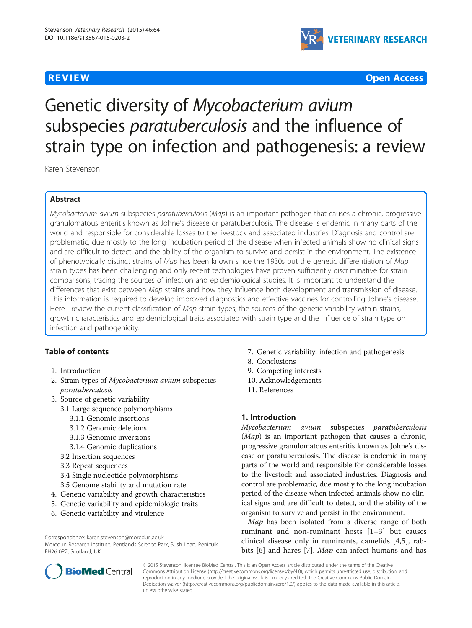

**REVIEW CONTROL** CONTROL CONTROL CONTROL CONTROL CONTROL CONTROL CONTROL CONTROL CONTROL CONTROL CONTROL CONTROL CONTROL CONTROL CONTROL CONTROL CONTROL CONTROL CONTROL CONTROL CONTROL CONTROL CONTROL CONTROL CONTROL CONTR

# Genetic diversity of Mycobacterium avium subspecies *paratuberculosis* and the influence of strain type on infection and pathogenesis: a review

Karen Stevenson

# Abstract

Mycobacterium avium subspecies paratuberculosis (Map) is an important pathogen that causes a chronic, progressive granulomatous enteritis known as Johne's disease or paratuberculosis. The disease is endemic in many parts of the world and responsible for considerable losses to the livestock and associated industries. Diagnosis and control are problematic, due mostly to the long incubation period of the disease when infected animals show no clinical signs and are difficult to detect, and the ability of the organism to survive and persist in the environment. The existence of phenotypically distinct strains of Map has been known since the 1930s but the genetic differentiation of Map strain types has been challenging and only recent technologies have proven sufficiently discriminative for strain comparisons, tracing the sources of infection and epidemiological studies. It is important to understand the differences that exist between Map strains and how they influence both development and transmission of disease. This information is required to develop improved diagnostics and effective vaccines for controlling Johne's disease. Here I review the current classification of Map strain types, the sources of the genetic variability within strains, growth characteristics and epidemiological traits associated with strain type and the influence of strain type on infection and pathogenicity.

# Table of contents

- 1. Introduction
- 2. Strain types of *Mycobacterium avium* subspecies paratuberculosis
- 3. Source of genetic variability
	- 3.1 Large sequence polymorphisms
		- 3.1.1 Genomic insertions
		- 3.1.2 Genomic deletions
		- 3.1.3 Genomic inversions
		- 3.1.4 Genomic duplications
	- 3.2 Insertion sequences
	- 3.3 Repeat sequences
	- 3.4 Single nucleotide polymorphisms
	- 3.5 Genome stability and mutation rate
- 4. Genetic variability and growth characteristics
- 5. Genetic variability and epidemiologic traits
- 6. Genetic variability and virulence



- 8. Conclusions
- 9. Competing interests
- 10. Acknowledgements
- 11. References

# 1. Introduction

Mycobacterium avium subspecies paratuberculosis (Map) is an important pathogen that causes a chronic, progressive granulomatous enteritis known as Johne's disease or paratuberculosis. The disease is endemic in many parts of the world and responsible for considerable losses to the livestock and associated industries. Diagnosis and control are problematic, due mostly to the long incubation period of the disease when infected animals show no clinical signs and are difficult to detect, and the ability of the organism to survive and persist in the environment.

Map has been isolated from a diverse range of both ruminant and non-ruminant hosts [[1](#page-9-0)–[3\]](#page-9-0) but causes clinical disease only in ruminants, camelids [[4,5\]](#page-9-0), rab-bits [[6\]](#page-9-0) and hares [[7\]](#page-9-0). Map can infect humans and has



© 2015 Stevenson; licensee BioMed Central. This is an Open Access article distributed under the terms of the Creative Commons Attribution License [\(http://creativecommons.org/licenses/by/4.0\)](http://creativecommons.org/licenses/by/4.0), which permits unrestricted use, distribution, and reproduction in any medium, provided the original work is properly credited. The Creative Commons Public Domain Dedication waiver [\(http://creativecommons.org/publicdomain/zero/1.0/](http://creativecommons.org/publicdomain/zero/1.0/)) applies to the data made available in this article, unless otherwise stated.

Correspondence: [karen.stevenson@moredun.ac.uk](mailto:karen.stevenson@moredun.ac.uk)

Moredun Research Institute, Pentlands Science Park, Bush Loan, Penicuik EH26 0PZ, Scotland, UK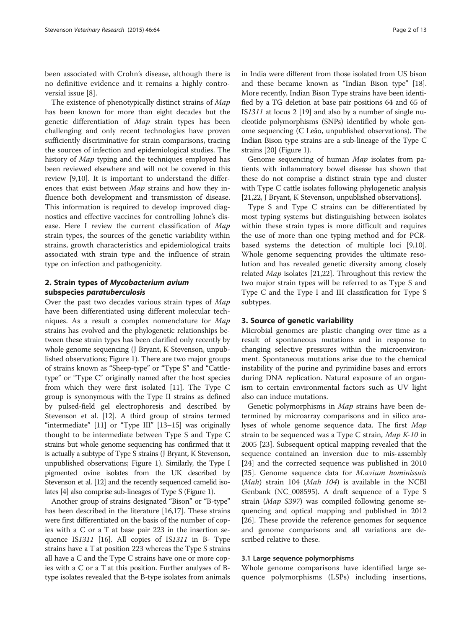been associated with Crohn's disease, although there is no definitive evidence and it remains a highly controversial issue [\[8](#page-9-0)].

The existence of phenotypically distinct strains of Map has been known for more than eight decades but the genetic differentiation of Map strain types has been challenging and only recent technologies have proven sufficiently discriminative for strain comparisons, tracing the sources of infection and epidemiological studies. The history of Map typing and the techniques employed has been reviewed elsewhere and will not be covered in this review [[9,10\]](#page-9-0). It is important to understand the differences that exist between Map strains and how they influence both development and transmission of disease. This information is required to develop improved diagnostics and effective vaccines for controlling Johne's disease. Here I review the current classification of Map strain types, the sources of the genetic variability within strains, growth characteristics and epidemiological traits associated with strain type and the influence of strain type on infection and pathogenicity.

## 2. Strain types of Mycobacterium avium subspecies paratuberculosis

Over the past two decades various strain types of Map have been differentiated using different molecular techniques. As a result a complex nomenclature for Map strains has evolved and the phylogenetic relationships between these strain types has been clarified only recently by whole genome sequencing (J Bryant, K Stevenson, unpublished observations; Figure [1](#page-2-0)). There are two major groups of strains known as "Sheep-type" or "Type S" and "Cattletype" or "Type C" originally named after the host species from which they were first isolated [\[11](#page-9-0)]. The Type C group is synonymous with the Type II strains as defined by pulsed-field gel electrophoresis and described by Stevenson et al. [\[12\]](#page-10-0). A third group of strains termed "intermediate" [[11](#page-9-0)] or "Type III" [\[13](#page-10-0)–[15](#page-10-0)] was originally thought to be intermediate between Type S and Type C strains but whole genome sequencing has confirmed that it is actually a subtype of Type S strains (J Bryant, K Stevenson, unpublished observations; Figure [1](#page-2-0)). Similarly, the Type I pigmented ovine isolates from the UK described by Stevenson et al. [\[12\]](#page-10-0) and the recently sequenced camelid isolates [\[4\]](#page-9-0) also comprise sub-lineages of Type S (Figure [1\)](#page-2-0).

Another group of strains designated "Bison" or "B-type" has been described in the literature [\[16,17](#page-10-0)]. These strains were first differentiated on the basis of the number of copies with a C or a T at base pair 223 in the insertion sequence IS1311 [\[16\]](#page-10-0). All copies of IS1311 in B- Type strains have a T at position 223 whereas the Type S strains all have a C and the Type C strains have one or more copies with a C or a T at this position. Further analyses of Btype isolates revealed that the B-type isolates from animals in India were different from those isolated from US bison and these became known as "Indian Bison type" [[18](#page-10-0)]. More recently, Indian Bison Type strains have been identified by a TG deletion at base pair positions 64 and 65 of IS1311 at locus 2 [[19](#page-10-0)] and also by a number of single nucleotide polymorphisms (SNPs) identified by whole genome sequencing (C Leão, unpublished observations). The Indian Bison type strains are a sub-lineage of the Type C strains [[20](#page-10-0)] (Figure [1\)](#page-2-0).

Genome sequencing of human Map isolates from patients with inflammatory bowel disease has shown that these do not comprise a distinct strain type and cluster with Type C cattle isolates following phylogenetic analysis [21,22, J Bryant, K Stevenson, unpublished observations].

Type S and Type C strains can be differentiated by most typing systems but distinguishing between isolates within these strain types is more difficult and requires the use of more than one typing method and for PCRbased systems the detection of multiple loci [\[9,10](#page-9-0)]. Whole genome sequencing provides the ultimate resolution and has revealed genetic diversity among closely related Map isolates [[21](#page-10-0),[22](#page-10-0)]. Throughout this review the two major strain types will be referred to as Type S and Type C and the Type I and III classification for Type S subtypes.

#### 3. Source of genetic variability

Microbial genomes are plastic changing over time as a result of spontaneous mutations and in response to changing selective pressures within the microenvironment. Spontaneous mutations arise due to the chemical instability of the purine and pyrimidine bases and errors during DNA replication. Natural exposure of an organism to certain environmental factors such as UV light also can induce mutations.

Genetic polymorphisms in Map strains have been determined by microarray comparisons and in silico analyses of whole genome sequence data. The first Map strain to be sequenced was a Type C strain, Map K-10 in 2005 [[23\]](#page-10-0). Subsequent optical mapping revealed that the sequence contained an inversion due to mis-assembly [[24\]](#page-10-0) and the corrected sequence was published in 2010 [[25\]](#page-10-0). Genome sequence data for M.avium hominissuis (*Mah*) strain 104 (*Mah 104*) is available in the NCBI Genbank (NC\_008595). A draft sequence of a Type S strain (Map S397) was compiled following genome sequencing and optical mapping and published in 2012 [[26\]](#page-10-0). These provide the reference genomes for sequence and genome comparisons and all variations are described relative to these.

#### 3.1 Large sequence polymorphisms

Whole genome comparisons have identified large sequence polymorphisms (LSPs) including insertions,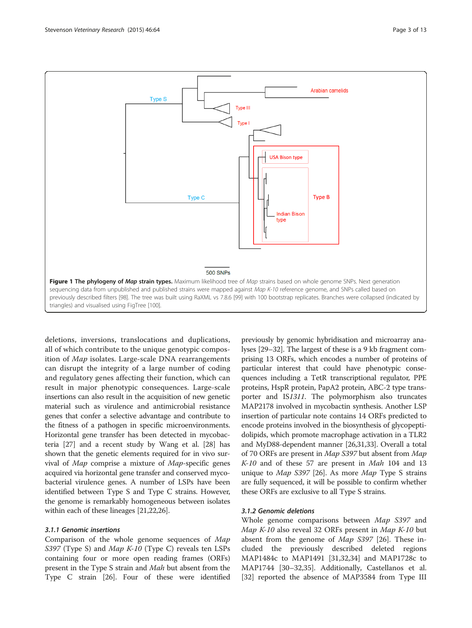<span id="page-2-0"></span>

deletions, inversions, translocations and duplications, all of which contribute to the unique genotypic composition of Map isolates. Large-scale DNA rearrangements can disrupt the integrity of a large number of coding and regulatory genes affecting their function, which can result in major phenotypic consequences. Large-scale insertions can also result in the acquisition of new genetic material such as virulence and antimicrobial resistance genes that confer a selective advantage and contribute to the fitness of a pathogen in specific microenvironments. Horizontal gene transfer has been detected in mycobacteria [[27](#page-10-0)] and a recent study by Wang et al. [\[28](#page-10-0)] has shown that the genetic elements required for in vivo survival of Map comprise a mixture of Map-specific genes acquired via horizontal gene transfer and conserved mycobacterial virulence genes. A number of LSPs have been identified between Type S and Type C strains. However, the genome is remarkably homogeneous between isolates within each of these lineages [\[21,22,26](#page-10-0)].

### 3.1.1 Genomic insertions

Comparison of the whole genome sequences of Map S397 (Type S) and *Map K-10* (Type C) reveals ten LSPs containing four or more open reading frames (ORFs) present in the Type S strain and *Mah* but absent from the Type C strain [[26](#page-10-0)]. Four of these were identified

previously by genomic hybridisation and microarray analyses [\[29](#page-10-0)–[32](#page-10-0)]. The largest of these is a 9 kb fragment comprising 13 ORFs, which encodes a number of proteins of particular interest that could have phenotypic consequences including a TetR transcriptional regulator, PPE proteins, HspR protein, PapA2 protein, ABC-2 type transporter and IS1311. The polymorphism also truncates MAP2178 involved in mycobactin synthesis. Another LSP insertion of particular note contains 14 ORFs predicted to encode proteins involved in the biosynthesis of glycopeptidolipids, which promote macrophage activation in a TLR2 and MyD88-dependent manner [\[26,31,33\]](#page-10-0). Overall a total of 70 ORFs are present in Map S397 but absent from Map K-10 and of these 57 are present in Mah 104 and 13 unique to *Map S397* [[26](#page-10-0)]. As more *Map* Type S strains are fully sequenced, it will be possible to confirm whether these ORFs are exclusive to all Type S strains.

### 3.1.2 Genomic deletions

Whole genome comparisons between Map S397 and Map K-10 also reveal 32 ORFs present in Map K-10 but absent from the genome of *Map S397* [\[26](#page-10-0)]. These included the previously described deleted regions MAP1484c to MAP1491 [[31,32,34\]](#page-10-0) and MAP1728c to MAP1744 [[30](#page-10-0)–[32,35](#page-10-0)]. Additionally, Castellanos et al. [[32\]](#page-10-0) reported the absence of MAP3584 from Type III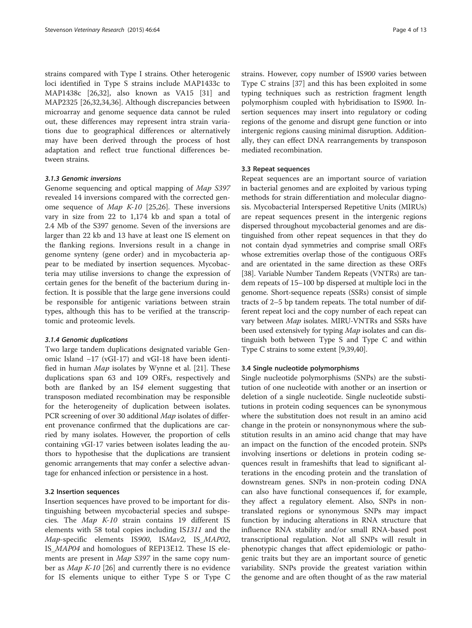strains compared with Type I strains. Other heterogenic loci identified in Type S strains include MAP1433c to MAP1438c [\[26,32\]](#page-10-0), also known as VA15 [\[31\]](#page-10-0) and MAP2325 [\[26,32,34,36\]](#page-10-0). Although discrepancies between microarray and genome sequence data cannot be ruled out, these differences may represent intra strain variations due to geographical differences or alternatively may have been derived through the process of host adaptation and reflect true functional differences between strains.

#### 3.1.3 Genomic inversions

Genome sequencing and optical mapping of Map S397 revealed 14 inversions compared with the corrected genome sequence of *Map K-10* [\[25,26](#page-10-0)]. These inversions vary in size from 22 to 1,174 kb and span a total of 2.4 Mb of the S397 genome. Seven of the inversions are larger than 22 kb and 13 have at least one IS element on the flanking regions. Inversions result in a change in genome synteny (gene order) and in mycobacteria appear to be mediated by insertion sequences. Mycobacteria may utilise inversions to change the expression of certain genes for the benefit of the bacterium during infection. It is possible that the large gene inversions could be responsible for antigenic variations between strain types, although this has to be verified at the transcriptomic and proteomic levels.

#### 3.1.4 Genomic duplications

Two large tandem duplications designated variable Genomic Island −17 (vGI-17) and vGI-18 have been identified in human Map isolates by Wynne et al. [[21](#page-10-0)]. These duplications span 63 and 109 ORFs, respectively and both are flanked by an IS4 element suggesting that transposon mediated recombination may be responsible for the heterogeneity of duplication between isolates. PCR screening of over 30 additional *Map* isolates of different provenance confirmed that the duplications are carried by many isolates. However, the proportion of cells containing vGI-17 varies between isolates leading the authors to hypothesise that the duplications are transient genomic arrangements that may confer a selective advantage for enhanced infection or persistence in a host.

#### 3.2 Insertion sequences

Insertion sequences have proved to be important for distinguishing between mycobacterial species and subspecies. The Map K-10 strain contains 19 different IS elements with 58 total copies including IS1311 and the Map-specific elements IS900, ISMav2, IS\_MAP02, IS\_MAP04 and homologues of REP13E12. These IS elements are present in *Map S397* in the same copy number as *Map K-10* [[26\]](#page-10-0) and currently there is no evidence for IS elements unique to either Type S or Type C

strains. However, copy number of IS900 varies between Type C strains [\[37\]](#page-10-0) and this has been exploited in some typing techniques such as restriction fragment length polymorphism coupled with hybridisation to IS900. Insertion sequences may insert into regulatory or coding regions of the genome and disrupt gene function or into intergenic regions causing minimal disruption. Additionally, they can effect DNA rearrangements by transposon mediated recombination.

#### 3.3 Repeat sequences

Repeat sequences are an important source of variation in bacterial genomes and are exploited by various typing methods for strain differentiation and molecular diagnosis. Mycobacterial Interspersed Repetitive Units (MIRUs) are repeat sequences present in the intergenic regions dispersed throughout mycobacterial genomes and are distinguished from other repeat sequences in that they do not contain dyad symmetries and comprise small ORFs whose extremities overlap those of the contiguous ORFs and are orientated in the same direction as these ORFs [[38](#page-10-0)]. Variable Number Tandem Repeats (VNTRs) are tandem repeats of 15–100 bp dispersed at multiple loci in the genome. Short-sequence repeats (SSRs) consist of simple tracts of 2–5 bp tandem repeats. The total number of different repeat loci and the copy number of each repeat can vary between Map isolates. MIRU-VNTRs and SSRs have been used extensively for typing Map isolates and can distinguish both between Type S and Type C and within Type C strains to some extent [\[9](#page-9-0)[,39,40\]](#page-10-0).

#### 3.4 Single nucleotide polymorphisms

Single nucleotide polymorphisms (SNPs) are the substitution of one nucleotide with another or an insertion or deletion of a single nucleotide. Single nucleotide substitutions in protein coding sequences can be synonymous where the substitution does not result in an amino acid change in the protein or nonsynonymous where the substitution results in an amino acid change that may have an impact on the function of the encoded protein. SNPs involving insertions or deletions in protein coding sequences result in frameshifts that lead to significant alterations in the encoding protein and the translation of downstream genes. SNPs in non-protein coding DNA can also have functional consequences if, for example, they affect a regulatory element. Also, SNPs in nontranslated regions or synonymous SNPs may impact function by inducing alterations in RNA structure that influence RNA stability and/or small RNA-based post transcriptional regulation. Not all SNPs will result in phenotypic changes that affect epidemiologic or pathogenic traits but they are an important source of genetic variability. SNPs provide the greatest variation within the genome and are often thought of as the raw material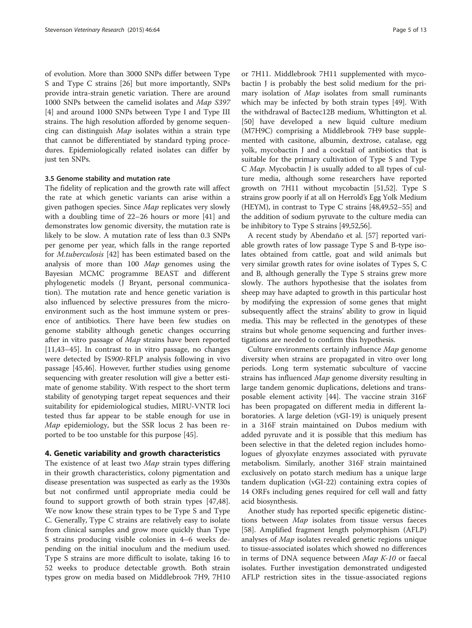of evolution. More than 3000 SNPs differ between Type S and Type C strains [\[26](#page-10-0)] but more importantly, SNPs provide intra-strain genetic variation. There are around 1000 SNPs between the camelid isolates and Map S397 [[4\]](#page-9-0) and around 1000 SNPs between Type I and Type III strains. The high resolution afforded by genome sequencing can distinguish Map isolates within a strain type that cannot be differentiated by standard typing procedures. Epidemiologically related isolates can differ by just ten SNPs.

# 3.5 Genome stability and mutation rate

The fidelity of replication and the growth rate will affect the rate at which genetic variants can arise within a given pathogen species. Since Map replicates very slowly with a doubling time of 22–26 hours or more [[41](#page-10-0)] and demonstrates low genomic diversity, the mutation rate is likely to be slow. A mutation rate of less than 0.3 SNPs per genome per year, which falls in the range reported for M.tuberculosis [[42](#page-10-0)] has been estimated based on the analysis of more than 100 Map genomes using the Bayesian MCMC programme BEAST and different phylogenetic models (J Bryant, personal communication). The mutation rate and hence genetic variation is also influenced by selective pressures from the microenvironment such as the host immune system or presence of antibiotics. There have been few studies on genome stability although genetic changes occurring after in vitro passage of *Map* strains have been reported [[11,](#page-9-0)[43](#page-10-0)–[45](#page-10-0)]. In contrast to in vitro passage, no changes were detected by IS900-RFLP analysis following in vivo passage [[45](#page-10-0),[46](#page-10-0)]. However, further studies using genome sequencing with greater resolution will give a better estimate of genome stability. With respect to the short term stability of genotyping target repeat sequences and their suitability for epidemiological studies, MIRU-VNTR loci tested thus far appear to be stable enough for use in Map epidemiology, but the SSR locus 2 has been reported to be too unstable for this purpose [[45\]](#page-10-0).

#### 4. Genetic variability and growth characteristics

The existence of at least two *Map* strain types differing in their growth characteristics, colony pigmentation and disease presentation was suspected as early as the 1930s but not confirmed until appropriate media could be found to support growth of both strain types [\[47,48](#page-10-0)]. We now know these strain types to be Type S and Type C. Generally, Type C strains are relatively easy to isolate from clinical samples and grow more quickly than Type S strains producing visible colonies in 4–6 weeks depending on the initial inoculum and the medium used. Type S strains are more difficult to isolate, taking 16 to 52 weeks to produce detectable growth. Both strain types grow on media based on Middlebrook 7H9, 7H10

or 7H11. Middlebrook 7H11 supplemented with mycobactin J is probably the best solid medium for the primary isolation of Map isolates from small ruminants which may be infected by both strain types [\[49\]](#page-10-0). With the withdrawal of Bactec12B medium, Whittington et al. [[50\]](#page-10-0) have developed a new liquid culture medium (M7H9C) comprising a Middlebrook 7H9 base supplemented with casitone, albumin, dextrose, catalase, egg yolk, mycobactin J and a cocktail of antibiotics that is suitable for the primary cultivation of Type S and Type C Map. Mycobactin J is usually added to all types of culture media, although some researchers have reported growth on 7H11 without mycobactin [\[51,52](#page-11-0)]. Type S strains grow poorly if at all on Herrold's Egg Yolk Medium (HEYM), in contrast to Type C strains [[48](#page-10-0),[49](#page-10-0)[,52](#page-11-0)–[55](#page-11-0)] and the addition of sodium pyruvate to the culture media can be inhibitory to Type S strains [\[49,](#page-10-0)[52,56](#page-11-0)].

A recent study by Abendaño et al. [[57](#page-11-0)] reported variable growth rates of low passage Type S and B-type isolates obtained from cattle, goat and wild animals but very similar growth rates for ovine isolates of Types S, C and B, although generally the Type S strains grew more slowly. The authors hypothesise that the isolates from sheep may have adapted to growth in this particular host by modifying the expression of some genes that might subsequently affect the strains' ability to grow in liquid media. This may be reflected in the genotypes of these strains but whole genome sequencing and further investigations are needed to confirm this hypothesis.

Culture environments certainly influence Map genome diversity when strains are propagated in vitro over long periods. Long term systematic subculture of vaccine strains has influenced Map genome diversity resulting in large tandem genomic duplications, deletions and transposable element activity [[44\]](#page-10-0). The vaccine strain 316F has been propagated on different media in different laboratories. A large deletion (vGI-19) is uniquely present in a 316F strain maintained on Dubos medium with added pyruvate and it is possible that this medium has been selective in that the deleted region includes homologues of glyoxylate enzymes associated with pyruvate metabolism. Similarly, another 316F strain maintained exclusively on potato starch medium has a unique large tandem duplication (vGI-22) containing extra copies of 14 ORFs including genes required for cell wall and fatty acid biosynthesis.

Another study has reported specific epigenetic distinctions between Map isolates from tissue versus faeces [[58\]](#page-11-0). Amplified fragment length polymorphism (AFLP) analyses of *Map* isolates revealed genetic regions unique to tissue-associated isolates which showed no differences in terms of DNA sequence between Map K-10 or faecal isolates. Further investigation demonstrated undigested AFLP restriction sites in the tissue-associated regions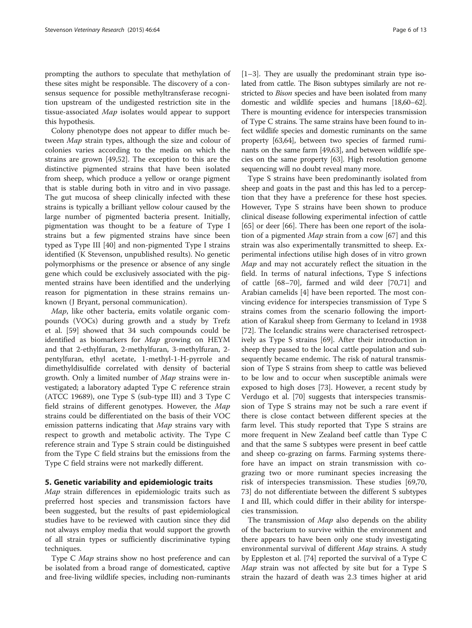prompting the authors to speculate that methylation of these sites might be responsible. The discovery of a consensus sequence for possible methyltransferase recognition upstream of the undigested restriction site in the tissue-associated Map isolates would appear to support this hypothesis.

Colony phenotype does not appear to differ much between Map strain types, although the size and colour of colonies varies according to the media on which the strains are grown [\[49](#page-10-0)[,52](#page-11-0)]. The exception to this are the distinctive pigmented strains that have been isolated from sheep, which produce a yellow or orange pigment that is stable during both in vitro and in vivo passage. The gut mucosa of sheep clinically infected with these strains is typically a brilliant yellow colour caused by the large number of pigmented bacteria present. Initially, pigmentation was thought to be a feature of Type I strains but a few pigmented strains have since been typed as Type III [\[40](#page-10-0)] and non-pigmented Type I strains identified (K Stevenson, unpublished results). No genetic polymorphisms or the presence or absence of any single gene which could be exclusively associated with the pigmented strains have been identified and the underlying reason for pigmentation in these strains remains unknown (J Bryant, personal communication).

Map, like other bacteria, emits volatile organic compounds (VOCs) during growth and a study by Trefz et al. [[59\]](#page-11-0) showed that 34 such compounds could be identified as biomarkers for Map growing on HEYM and that 2-ethylfuran, 2-methylfuran, 3-methylfuran, 2 pentylfuran, ethyl acetate, 1-methyl-1-H-pyrrole and dimethyldisulfide correlated with density of bacterial growth. Only a limited number of Map strains were investigated; a laboratory adapted Type C reference strain (ATCC 19689), one Type S (sub-type III) and 3 Type C field strains of different genotypes. However, the Map strains could be differentiated on the basis of their VOC emission patterns indicating that Map strains vary with respect to growth and metabolic activity. The Type C reference strain and Type S strain could be distinguished from the Type C field strains but the emissions from the Type C field strains were not markedly different.

#### 5. Genetic variability and epidemiologic traits

Map strain differences in epidemiologic traits such as preferred host species and transmission factors have been suggested, but the results of past epidemiological studies have to be reviewed with caution since they did not always employ media that would support the growth of all strain types or sufficiently discriminative typing techniques.

Type C *Map* strains show no host preference and can be isolated from a broad range of domesticated, captive and free-living wildlife species, including non-ruminants

[[1](#page-9-0)–[3\]](#page-9-0). They are usually the predominant strain type isolated from cattle. The Bison subtypes similarly are not restricted to *Bison* species and have been isolated from many domestic and wildlife species and humans [\[18,](#page-10-0)[60](#page-11-0)–[62](#page-11-0)]. There is mounting evidence for interspecies transmission of Type C strains. The same strains have been found to infect wildlife species and domestic ruminants on the same property [\[63,64](#page-11-0)], between two species of farmed ruminants on the same farm [[49](#page-10-0)[,63](#page-11-0)], and between wildlife species on the same property [\[63\]](#page-11-0). High resolution genome sequencing will no doubt reveal many more.

Type S strains have been predominantly isolated from sheep and goats in the past and this has led to a perception that they have a preference for these host species. However, Type S strains have been shown to produce clinical disease following experimental infection of cattle [[65\]](#page-11-0) or deer [\[66](#page-11-0)]. There has been one report of the isolation of a pigmented Map strain from a cow [[67\]](#page-11-0) and this strain was also experimentally transmitted to sheep. Experimental infections utilise high doses of in vitro grown Map and may not accurately reflect the situation in the field. In terms of natural infections, Type S infections of cattle [[68](#page-11-0)–[70\]](#page-11-0), farmed and wild deer [[70](#page-11-0),[71](#page-11-0)] and Arabian camelids [\[4](#page-9-0)] have been reported. The most convincing evidence for interspecies transmission of Type S strains comes from the scenario following the importation of Karakul sheep from Germany to Iceland in 1938 [[72\]](#page-11-0). The Icelandic strains were characterised retrospectively as Type S strains [\[69](#page-11-0)]. After their introduction in sheep they passed to the local cattle population and subsequently became endemic. The risk of natural transmission of Type S strains from sheep to cattle was believed to be low and to occur when susceptible animals were exposed to high doses [[73](#page-11-0)]. However, a recent study by Verdugo et al. [\[70](#page-11-0)] suggests that interspecies transmission of Type S strains may not be such a rare event if there is close contact between different species at the farm level. This study reported that Type S strains are more frequent in New Zealand beef cattle than Type C and that the same S subtypes were present in beef cattle and sheep co-grazing on farms. Farming systems therefore have an impact on strain transmission with cograzing two or more ruminant species increasing the risk of interspecies transmission. These studies [[69](#page-11-0),[70](#page-11-0), [73\]](#page-11-0) do not differentiate between the different S subtypes I and III, which could differ in their ability for interspecies transmission.

The transmission of *Map* also depends on the ability of the bacterium to survive within the environment and there appears to have been only one study investigating environmental survival of different Map strains. A study by Eppleston et al. [\[74](#page-11-0)] reported the survival of a Type C Map strain was not affected by site but for a Type S strain the hazard of death was 2.3 times higher at arid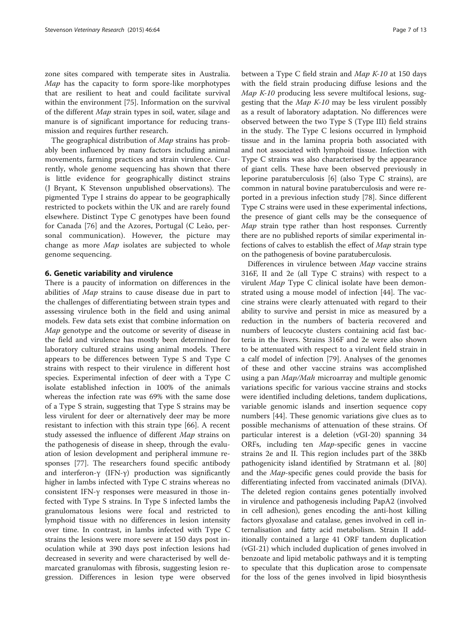zone sites compared with temperate sites in Australia. Map has the capacity to form spore-like morphotypes that are resilient to heat and could facilitate survival within the environment [[75](#page-11-0)]. Information on the survival of the different Map strain types in soil, water, silage and manure is of significant importance for reducing transmission and requires further research.

The geographical distribution of Map strains has probably been influenced by many factors including animal movements, farming practices and strain virulence. Currently, whole genome sequencing has shown that there is little evidence for geographically distinct strains (J Bryant, K Stevenson unpublished observations). The pigmented Type I strains do appear to be geographically restricted to pockets within the UK and are rarely found elsewhere. Distinct Type C genotypes have been found for Canada [[76\]](#page-11-0) and the Azores, Portugal (C Leão, personal communication). However, the picture may change as more Map isolates are subjected to whole genome sequencing.

# 6. Genetic variability and virulence

There is a paucity of information on differences in the abilities of Map strains to cause disease due in part to the challenges of differentiating between strain types and assessing virulence both in the field and using animal models. Few data sets exist that combine information on Map genotype and the outcome or severity of disease in the field and virulence has mostly been determined for laboratory cultured strains using animal models. There appears to be differences between Type S and Type C strains with respect to their virulence in different host species. Experimental infection of deer with a Type C isolate established infection in 100% of the animals whereas the infection rate was 69% with the same dose of a Type S strain, suggesting that Type S strains may be less virulent for deer or alternatively deer may be more resistant to infection with this strain type [[66\]](#page-11-0). A recent study assessed the influence of different Map strains on the pathogenesis of disease in sheep, through the evaluation of lesion development and peripheral immune responses [[77\]](#page-11-0). The researchers found specific antibody and interferon-γ (IFN-γ) production was significantly higher in lambs infected with Type C strains whereas no consistent IFN-γ responses were measured in those infected with Type S strains. In Type S infected lambs the granulomatous lesions were focal and restricted to lymphoid tissue with no differences in lesion intensity over time. In contrast, in lambs infected with Type C strains the lesions were more severe at 150 days post inoculation while at 390 days post infection lesions had decreased in severity and were characterised by well demarcated granulomas with fibrosis, suggesting lesion regression. Differences in lesion type were observed

between a Type C field strain and Map K-10 at 150 days with the field strain producing diffuse lesions and the Map K-10 producing less severe multifocal lesions, suggesting that the Map K-10 may be less virulent possibly as a result of laboratory adaptation. No differences were observed between the two Type S (Type III) field strains in the study. The Type C lesions occurred in lymphoid tissue and in the lamina propria both associated with and not associated with lymphoid tissue. Infection with Type C strains was also characterised by the appearance of giant cells. These have been observed previously in leporine paratuberculosis [\[6](#page-9-0)] (also Type C strains), are common in natural bovine paratuberculosis and were reported in a previous infection study [\[78](#page-11-0)]. Since different Type C strains were used in these experimental infections, the presence of giant cells may be the consequence of Map strain type rather than host responses. Currently there are no published reports of similar experimental infections of calves to establish the effect of Map strain type on the pathogenesis of bovine paratuberculosis.

Differences in virulence between Map vaccine strains 316F, II and 2e (all Type C strains) with respect to a virulent Map Type C clinical isolate have been demonstrated using a mouse model of infection [\[44](#page-10-0)]. The vaccine strains were clearly attenuated with regard to their ability to survive and persist in mice as measured by a reduction in the numbers of bacteria recovered and numbers of leucocyte clusters containing acid fast bacteria in the livers. Strains 316F and 2e were also shown to be attenuated with respect to a virulent field strain in a calf model of infection [\[79](#page-11-0)]. Analyses of the genomes of these and other vaccine strains was accomplished using a pan *Map/Mah* microarray and multiple genomic variations specific for various vaccine strains and stocks were identified including deletions, tandem duplications, variable genomic islands and insertion sequence copy numbers [\[44](#page-10-0)]. These genomic variations give clues as to possible mechanisms of attenuation of these strains. Of particular interest is a deletion (vGI-20) spanning 34 ORFs, including ten Map-specific genes in vaccine strains 2e and II. This region includes part of the 38Kb pathogenicity island identified by Stratmann et al. [[80](#page-11-0)] and the Map-specific genes could provide the basis for differentiating infected from vaccinated animals (DIVA). The deleted region contains genes potentially involved in virulence and pathogenesis including PapA2 (involved in cell adhesion), genes encoding the anti-host killing factors glyoxalase and catalase, genes involved in cell internalisation and fatty acid metabolism. Strain II additionally contained a large 41 ORF tandem duplication (vGI-21) which included duplication of genes involved in benzoate and lipid metabolic pathways and it is tempting to speculate that this duplication arose to compensate for the loss of the genes involved in lipid biosynthesis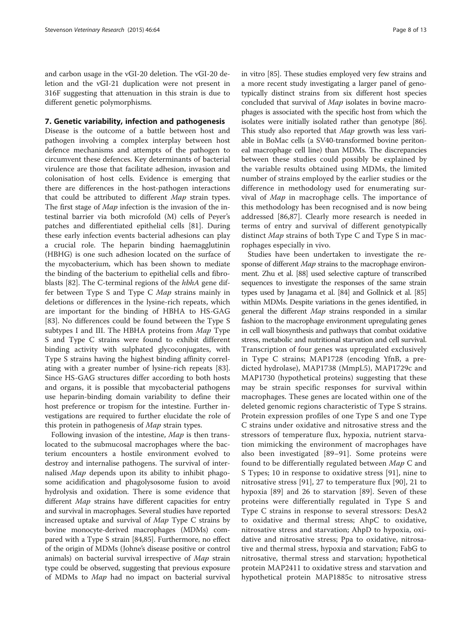and carbon usage in the vGI-20 deletion. The vGI-20 deletion and the vGI-21 duplication were not present in 316F suggesting that attenuation in this strain is due to different genetic polymorphisms.

# 7. Genetic variability, infection and pathogenesis

Disease is the outcome of a battle between host and pathogen involving a complex interplay between host defence mechanisms and attempts of the pathogen to circumvent these defences. Key determinants of bacterial virulence are those that facilitate adhesion, invasion and colonisation of host cells. Evidence is emerging that there are differences in the host-pathogen interactions that could be attributed to different Map strain types. The first stage of Map infection is the invasion of the intestinal barrier via both microfold (M) cells of Peyer's patches and differentiated epithelial cells [\[81](#page-11-0)]. During these early infection events bacterial adhesions can play a crucial role. The heparin binding haemagglutinin (HBHG) is one such adhesion located on the surface of the mycobacterium, which has been shown to mediate the binding of the bacterium to epithelial cells and fibro-blasts [[82\]](#page-11-0). The C-terminal regions of the hbhA gene differ between Type S and Type C Map strains mainly in deletions or differences in the lysine-rich repeats, which are important for the binding of HBHA to HS-GAG [[83\]](#page-11-0). No differences could be found between the Type S subtypes I and III. The HBHA proteins from Map Type S and Type C strains were found to exhibit different binding activity with sulphated glycoconjugates, with Type S strains having the highest binding affinity correlating with a greater number of lysine-rich repeats [\[83](#page-11-0)]. Since HS-GAG structures differ according to both hosts and organs, it is possible that mycobacterial pathogens use heparin-binding domain variability to define their host preference or tropism for the intestine. Further investigations are required to further elucidate the role of this protein in pathogenesis of Map strain types.

Following invasion of the intestine, Map is then translocated to the submucosal macrophages where the bacterium encounters a hostile environment evolved to destroy and internalise pathogens. The survival of internalised Map depends upon its ability to inhibit phagosome acidification and phagolysosome fusion to avoid hydrolysis and oxidation. There is some evidence that different *Map* strains have different capacities for entry and survival in macrophages. Several studies have reported increased uptake and survival of Map Type C strains by bovine monocyte-derived macrophages (MDMs) compared with a Type S strain [[84,85\]](#page-11-0). Furthermore, no effect of the origin of MDMs (Johne's disease positive or control animals) on bacterial survival irrespective of Map strain type could be observed, suggesting that previous exposure of MDMs to Map had no impact on bacterial survival in vitro [\[85](#page-11-0)]. These studies employed very few strains and a more recent study investigating a larger panel of genotypically distinct strains from six different host species concluded that survival of Map isolates in bovine macrophages is associated with the specific host from which the isolates were initially isolated rather than genotype [[86](#page-11-0)]. This study also reported that *Map* growth was less variable in BoMac cells (a SV40-transformed bovine peritoneal macrophage cell line) than MDMs. The discrepancies between these studies could possibly be explained by the variable results obtained using MDMs, the limited number of strains employed by the earlier studies or the difference in methodology used for enumerating survival of Map in macrophage cells. The importance of this methodology has been recognised and is now being addressed [\[86,](#page-11-0)[87\]](#page-12-0). Clearly more research is needed in terms of entry and survival of different genotypically distinct Map strains of both Type C and Type S in macrophages especially in vivo.

Studies have been undertaken to investigate the response of different *Map* strains to the macrophage environment. Zhu et al. [[88\]](#page-12-0) used selective capture of transcribed sequences to investigate the responses of the same strain types used by Janagama et al. [\[84\]](#page-11-0) and Gollnick et al. [\[85](#page-11-0)] within MDMs. Despite variations in the genes identified, in general the different Map strains responded in a similar fashion to the macrophage environment upregulating genes in cell wall biosynthesis and pathways that combat oxidative stress, metabolic and nutritional starvation and cell survival. Transcription of four genes was upregulated exclusively in Type C strains; MAP1728 (encoding YfnB, a predicted hydrolase), MAP1738 (MmpL5), MAP1729c and MAP1730 (hypothetical proteins) suggesting that these may be strain specific responses for survival within macrophages. These genes are located within one of the deleted genomic regions characteristic of Type S strains. Protein expression profiles of one Type S and one Type C strains under oxidative and nitrosative stress and the stressors of temperature flux, hypoxia, nutrient starvation mimicking the environment of macrophages have also been investigated [[89](#page-12-0)–[91\]](#page-12-0). Some proteins were found to be differentially regulated between *Map* C and S Types; 10 in response to oxidative stress [[91](#page-12-0)], nine to nitrosative stress [[91\]](#page-12-0), 27 to temperature flux [[90](#page-12-0)], 21 to hypoxia [[89\]](#page-12-0) and 26 to starvation [[89\]](#page-12-0). Seven of these proteins were differentially regulated in Type S and Type C strains in response to several stressors: DesA2 to oxidative and thermal stress; AhpC to oxidative, nitrosative stress and starvation; AhpD to hypoxia, oxidative and nitrosative stress; Ppa to oxidative, nitrosative and thermal stress, hypoxia and starvation; FabG to nitrosative, thermal stress and starvation; hypothetical protein MAP2411 to oxidative stress and starvation and hypothetical protein MAP1885c to nitrosative stress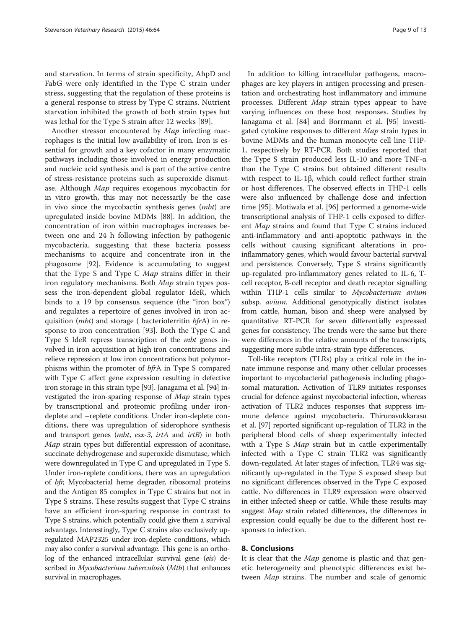and starvation. In terms of strain specificity, AhpD and FabG were only identified in the Type C strain under stress, suggesting that the regulation of these proteins is a general response to stress by Type C strains. Nutrient starvation inhibited the growth of both strain types but was lethal for the Type S strain after 12 weeks [[89](#page-12-0)].

Another stressor encountered by Map infecting macrophages is the initial low availability of iron. Iron is essential for growth and a key cofactor in many enzymatic pathways including those involved in energy production and nucleic acid synthesis and is part of the active centre of stress-resistance proteins such as superoxide dismutase. Although Map requires exogenous mycobactin for in vitro growth, this may not necessarily be the case in vivo since the mycobactin synthesis genes (mbt) are upregulated inside bovine MDMs [\[88](#page-12-0)]. In addition, the concentration of iron within macrophages increases between one and 24 h following infection by pathogenic mycobacteria, suggesting that these bacteria possess mechanisms to acquire and concentrate iron in the phagosome [[92\]](#page-12-0). Evidence is accumulating to suggest that the Type S and Type C Map strains differ in their iron regulatory mechanisms. Both Map strain types possess the iron-dependent global regulator IdeR, which binds to a 19 bp consensus sequence (the "iron box") and regulates a repertoire of genes involved in iron acquisition (*mbt*) and storage ( bacterioferritin bfrA) in response to iron concentration [[93](#page-12-0)]. Both the Type C and Type S IdeR repress transcription of the mbt genes involved in iron acquisition at high iron concentrations and relieve repression at low iron concentrations but polymorphisms within the promoter of bfrA in Type S compared with Type C affect gene expression resulting in defective iron storage in this strain type [[93](#page-12-0)]. Janagama et al. [\[94\]](#page-12-0) investigated the iron-sparing response of Map strain types by transcriptional and proteomic profiling under irondeplete and –replete conditions. Under iron-deplete conditions, there was upregulation of siderophore synthesis and transport genes (mbt, esx-3, irtA and irtB) in both Map strain types but differential expression of aconitase, succinate dehydrogenase and superoxide dismutase, which were downregulated in Type C and upregulated in Type S. Under iron-replete conditions, there was an upregulation of bfr, Mycobacterial heme degrader, ribosomal proteins and the Antigen 85 complex in Type C strains but not in Type S strains. These results suggest that Type C strains have an efficient iron-sparing response in contrast to Type S strains, which potentially could give them a survival advantage. Interestingly, Type C strains also exclusively upregulated MAP2325 under iron-deplete conditions, which may also confer a survival advantage. This gene is an ortholog of the enhanced intracellular survival gene (eis) described in *Mycobacterium tuberculosis* (*Mtb*) that enhances survival in macrophages.

In addition to killing intracellular pathogens, macrophages are key players in antigen processing and presentation and orchestrating host inflammatory and immune processes. Different Map strain types appear to have varying influences on these host responses. Studies by Janagama et al. [[84](#page-11-0)] and Borrmann et al. [[95\]](#page-12-0) investigated cytokine responses to different *Map* strain types in bovine MDMs and the human monocyte cell line THP-1, respectively by RT-PCR. Both studies reported that the Type S strain produced less IL-10 and more TNF-α than the Type C strains but obtained different results with respect to IL-1β, which could reflect further strain or host differences. The observed effects in THP-1 cells were also influenced by challenge dose and infection time [\[95](#page-12-0)]. Motiwala et al. [[96](#page-12-0)] performed a genome-wide transcriptional analysis of THP-1 cells exposed to different Map strains and found that Type C strains induced anti-inflammatory and anti-apoptotic pathways in the cells without causing significant alterations in proinflammatory genes, which would favour bacterial survival and persistence. Conversely, Type S strains significantly up-regulated pro-inflammatory genes related to IL-6, Tcell receptor, B-cell receptor and death receptor signalling within THP-1 cells similar to Mycobacterium avium subsp. avium. Additional genotypically distinct isolates from cattle, human, bison and sheep were analysed by quantitative RT-PCR for seven differentially expressed genes for consistency. The trends were the same but there were differences in the relative amounts of the transcripts, suggesting more subtle intra-strain type differences.

Toll-like receptors (TLRs) play a critical role in the innate immune response and many other cellular processes important to mycobacterial pathogenesis including phagosomal maturation. Activation of TLR9 initiates responses crucial for defence against mycobacterial infection, whereas activation of TLR2 induces responses that suppress immune defence against mycobacteria. Thirunavukkarasu et al. [\[97\]](#page-12-0) reported significant up-regulation of TLR2 in the peripheral blood cells of sheep experimentally infected with a Type S Map strain but in cattle experimentally infected with a Type C strain TLR2 was significantly down-regulated. At later stages of infection, TLR4 was significantly up-regulated in the Type S exposed sheep but no significant differences observed in the Type C exposed cattle. No differences in TLR9 expression were observed in either infected sheep or cattle. While these results may suggest Map strain related differences, the differences in expression could equally be due to the different host responses to infection.

## 8. Conclusions

It is clear that the *Map* genome is plastic and that genetic heterogeneity and phenotypic differences exist between Map strains. The number and scale of genomic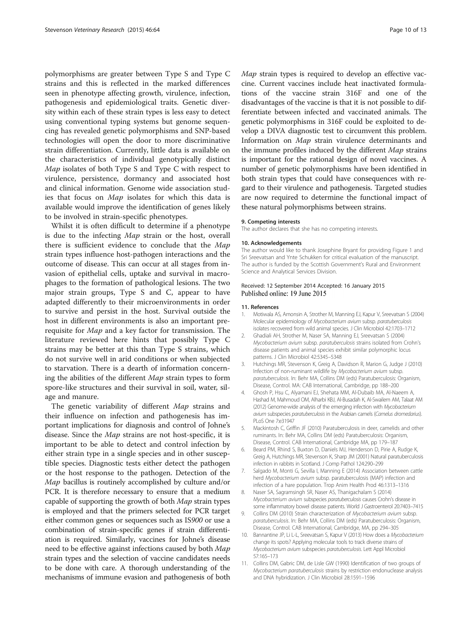<span id="page-9-0"></span>polymorphisms are greater between Type S and Type C strains and this is reflected in the marked differences seen in phenotype affecting growth, virulence, infection, pathogenesis and epidemiological traits. Genetic diversity within each of these strain types is less easy to detect using conventional typing systems but genome sequencing has revealed genetic polymorphisms and SNP-based technologies will open the door to more discriminative strain differentiation. Currently, little data is available on the characteristics of individual genotypically distinct Map isolates of both Type S and Type C with respect to virulence, persistence, dormancy and associated host and clinical information. Genome wide association studies that focus on Map isolates for which this data is available would improve the identification of genes likely to be involved in strain-specific phenotypes.

Whilst it is often difficult to determine if a phenotype is due to the infecting Map strain or the host, overall there is sufficient evidence to conclude that the Map strain types influence host-pathogen interactions and the outcome of disease. This can occur at all stages from invasion of epithelial cells, uptake and survival in macrophages to the formation of pathological lesions. The two major strain groups, Type S and C, appear to have adapted differently to their microenvironments in order to survive and persist in the host. Survival outside the host in different environments is also an important prerequisite for Map and a key factor for transmission. The literature reviewed here hints that possibly Type C strains may be better at this than Type S strains, which do not survive well in arid conditions or when subjected to starvation. There is a dearth of information concerning the abilities of the different Map strain types to form spore-like structures and their survival in soil, water, silage and manure.

The genetic variability of different Map strains and their influence on infection and pathogenesis has important implications for diagnosis and control of Johne's disease. Since the Map strains are not host-specific, it is important to be able to detect and control infection by either strain type in a single species and in other susceptible species. Diagnostic tests either detect the pathogen or the host response to the pathogen. Detection of the Map bacillus is routinely accomplished by culture and/or PCR. It is therefore necessary to ensure that a medium capable of supporting the growth of both Map strain types is employed and that the primers selected for PCR target either common genes or sequences such as IS900 or use a combination of strain-specific genes if strain differentiation is required. Similarly, vaccines for Johne's disease need to be effective against infections caused by both Map strain types and the selection of vaccine candidates needs to be done with care. A thorough understanding of the mechanisms of immune evasion and pathogenesis of both Map strain types is required to develop an effective vaccine. Current vaccines include heat inactivated formulations of the vaccine strain 316F and one of the disadvantages of the vaccine is that it is not possible to differentiate between infected and vaccinated animals. The genetic polymorphisms in 316F could be exploited to develop a DIVA diagnostic test to circumvent this problem. Information on Map strain virulence determinants and the immune profiles induced by the different Map strains is important for the rational design of novel vaccines. A number of genetic polymorphisms have been identified in both strain types that could have consequences with regard to their virulence and pathogenesis. Targeted studies are now required to determine the functional impact of these natural polymorphisms between strains.

#### 9. Competing interests

The author declares that she has no competing interests.

#### 10. Acknowledgements

The author would like to thank Josephine Bryant for providing Figure [1](#page-2-0) and Sri Sreevatsan and Ynte Schukken for critical evaluation of the manuscript. The author is funded by the Scottish Government's Rural and Environment Science and Analytical Services Division.

#### Received: 12 September 2014 Accepted: 16 January 2015 Published online: 19 June 2015

#### 11. References

- 1. Motiwala AS, Amonsin A, Strother M, Manning EJ, Kapur V, Sreevatsan S (2004) Molecular epidemiology of Mycobacterium avium subsp. paratuberculosis isolates recovered from wild animal species. J Clin Microbiol 42:1703–1712
- 2. Ghadiali AH, Strother M, Naser SA, Manning EJ, Sreevatsan S (2004) Mycobacterium avium subsp. paratuberculosis strains isolated from Crohn's disease patients and animal species exhibit similar polymorphic locus patterns. J Clin Microbiol 42:5345–5348
- 3. Hutchings MR, Stevenson K, Greig A, Davidson R, Marion G, Judge J (2010) Infection of non-ruminant wildlife by Mycobacterium avium subsp. paratuberculosis. In: Behr MA, Collins DM (eds) Paratuberculosis: Organism, Disease, Control. MA: CAB International, Cambridge, pp 188–200
- 4. Ghosh P, Hsu C, Alyamani EJ, Shehata MM, Al-Dubaib MA, Al-Naeem A, Hashad M, Mahmoud OM, Alharbi KBJ, Al-Busadah K, Al-Swailem AM, Talaat AM (2012) Genome-wide analysis of the emerging infection with Mycobacterium avium subspecies paratuberculosis in the Arabian camels (Camelus dromedarius). PLoS One 7:e31947
- 5. Mackintosh C, Griffin JF (2010) Paratuberculosis in deer, camelids and other ruminants. In: Behr MA, Collins DM (eds) Paratuberculosis: Organism, Disease, Control. CAB International, Cambridge MA, pp 179–187
- 6. Beard PM, Rhind S, Buxton D, Daniels MJ, Henderson D, Pirie A, Rudge K, Greig A, Hutchings MR, Stevenson K, Sharp JM (2001) Natural paratuberculosis infection in rabbits in Scotland. J Comp Pathol 124:290–299
- 7. Salgado M, Monti G, Sevilla I, Manning E (2014) Association between cattle herd Mycobacterium avium subsp. paratuberculosis (MAP) infection and infection of a hare population. Trop Anim Health Prod 46:1313–1316
- 8. Naser SA, Sagramsingh SR, Naser AS, Thanigachalam S (2014) Mycobacterium avium subspecies paratuberculosis causes Crohn's disease in some inflammatory bowel disease patients. World J Gastroenterol 20:7403–7415
- 9. Collins DM (2010) Strain characterization of Mycobacterium avium subsp. paratuberculosis. In: Behr MA, Collins DM (eds) Paratuberculosis: Organism, Disease, Control. CAB International, Cambridge, MA, pp 294–305
- 10. Bannantine JP, Li L-L, Sreevatsan S, Kapur V (2013) How does a Mycobacterium change its spots? Applying molecular tools to track diverse strains of Mycobacterium avium subspecies paratuberculosis. Lett Appl Microbiol 57:165–173
- 11. Collins DM, Gabric DM, de Lisle GW (1990) Identification of two groups of Mycobacterium paratuberculosis strains by restriction endonuclease analysis and DNA hybridization. J Clin Microbiol 28:1591–1596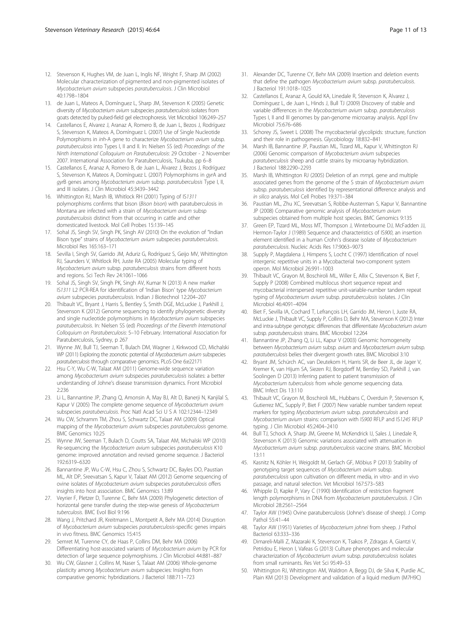- <span id="page-10-0"></span>12. Stevenson K, Hughes VM, de Juan L, Inglis NF, Wright F, Sharp JM (2002) Molecular characterization of pigmented and non-pigmented isolates of Mycobacterium avium subspecies paratuberculosis. J Clin Microbiol 40:1798–1804
- 13. de Juan L, Mateos A, Domínguez L, Sharp JM, Stevenson K (2005) Genetic diversity of Mycobacterium avium subspecies paratuberculosis isolates from goats detected by pulsed-field gel electrophoresis. Vet Microbiol 106:249–257
- 14. Castellanos E, Alvarez J, Aranaz A, Romero B, de Juan L, Bezos J, Rodríguez S, Stevenson K, Mateos A, Domínguez L (2007) Use of Single Nucleotide Polymorphisms in inh-A gene to characterize Mycobacterium avium subsp. paratuberculosis into Types I, II and II. In: Nielsen SS (ed) Proceedings of the Ninth International Colloquium on Paratuberculosis: 29 October - 2 November 2007. International Association for Paratuberculosis, Tsukuba, pp 6–8
- 15. Castellanos E, Aranaz A, Romero B, de Juan L, Àlvarez J, Bezos J, Rodríguez S, Stevenson K, Mateos A, Domínguez L (2007) Polymorphisms in gyrA and gyrB genes among Mycobacterium avium subsp. paratuberculosis Type I, II, and III isolates. J Clin Microbiol 45:3439–3442
- 16. Whittington RJ, Marsh IB, Whitlock RH (2001) Typing of IS1311 polymorphisms confirms that bison (Bison bison) with paratuberculosis in Montana are infected with a strain of Mycobacterium avium subsp paratuberculosis distinct from that occurring in cattle and other domesticated livestock. Mol Cell Probes 15:139–145
- 17. Sohal JS, Singh SV, Singh PK, Singh AV (2010) On the evolution of "Indian Bison type" strains of Mycobacterium avium subspecies paratuberculosis. Microbiol Res 165:163–171
- 18. Sevilla I, Singh SV, Garrido JM, Aduriz G, Rodríguez S, Geijo MV, Whittington RJ, Saunders V, Whitlock RH, Juste RA (2005) Molecular typing of Mycobacterium avium subsp. paratuberculosis strains from different hosts and regions. Sci Tech Rev 24:1061–1066
- 19. Sohal JS, Singh SV, Singh PK, Singh AV, Kumar N (2013) A new marker IS1311 L2 PCR-REA for identification of 'Indian Bison' type Mycobacterium avium subspecies paratuberculosis. Indian J Biotechnol 12:204–207
- 20. Thibault VC, Bryant J, Harris S, Bentley S, Smith DGE, McLuckie J, Parkhill J, Stevenson K (2012) Genome sequencing to identify phylogenetic diversity and single nucleotide polymorphisms in Mycobacterium avium subspecies paratuberculosis. In: Nielsen SS (ed) Proceedings of the Eleventh International Colloquium on Paratuberculosis: 5–10 February. International Association for Paratuberculosis, Sydney, p 267
- 21. Wynne JW, Bull TJ, Seeman T, Bulach DM, Wagner J, Kirkwood CD, Michalski WP (2011) Exploring the zoonotic potential of Mycobacterium avium subspecies paratuberculosis through comparative genomics. PLoS One 6:e22171
- 22. Hsu C-Y, Wu C-W, Talaat AM (2011) Genome-wide sequence variation among Mycobacterium avium subspecies paratuberculosis isolates: a better understanding of Johne's disease transmission dynamics. Front Microbiol 2:236
- 23. Li L, Bannantine JP, Zhang Q, Amonsin A, May BJ, Alt D, Banerji N, Kanjilal S, Kapur V (2005) The complete genome sequence of Mycobacterium avium subspecies paratuberculosis. Proc Natl Acad Sci U S A 102:12344–12349
- 24. Wu CW, Schramm TM, Zhou S, Schwartz DC, Talaat AM (2009) Optical mapping of the Mycobacterium avium subspecies paratuberculosis genome. BMC Genomics 10:25
- 25. Wynne JW, Seeman T, Bulach D, Coutts SA, Talaat AM, Michalski WP (2010) Re-sequencing the Mycobacterium avium subspecies paratuberculosis K10 genome: improved annotation and revised genome sequence. J Bacteriol 192:6319–6320
- 26. Bannantine JP, Wu C-W, Hsu C, Zhou S, Schwartz DC, Bayles DO, Paustian ML, Alt DP, Sreevatsan S, Kapur V, Talaat AM (2012) Genome sequencing of ovine isolates of Mycobacterium avium subspecies paratuberculosis offers insights into host association. BMC Genomics 13:89
- 27. Veyrier F, Pletzer D, Turenne C, Behr MA (2009) Phylogenetic detection of horizontal gene transfer during the step-wise genesis of Mycobacterium tuberculosis. BMC Evol Biol 9:196
- 28. Wang J, Pritchard JR, Kreitmann L, Montpetit A, Behr MA (2014) Disruption of Mycobacterium avium subspecies paratuberculosis-specific genes impairs in vivo fitness. BMC Genomics 15:415
- 29. Semret M, Turenne CY, de Haas P, Collins DM, Behr MA (2006) Differentiating host-associated variants of Mycobacterium avium by PCR for detection of large sequence polymorphisms. J Clin Microbiol 44:881–887
- 30. Wu CW, Glasner J, Collins M, Naser S, Talaat AM (2006) Whole-genome plasticity among Mycobacterium avium subspecies: Insights from comparative genomic hybridizations. J Bacteriol 188:711–723
- 31. Alexander DC, Turenne CY, Behr MA (2009) Insertion and deletion events that define the pathogen Mycobacterium avium subsp. paratuberculosis. J Bacteriol 191:1018–1025
- 32. Castellanos E, Aranaz A, Gould KA, Linedale R, Stevenson K, Àlvarez J, Domínguez L, de Juan L, Hinds J, Bull TJ (2009) Discovery of stable and variable differences in the Mycobacterium avium subsp. paratuberculosis Types I, II and III genomes by pan-genome microarray analysis. Appl Env Microbiol 75:676–686
- 33. Schorey JS, Sweet L (2008) The mycobacterial glycolipids: structure, function and their role in pathogenesis. Glycobiology 18:832–841
- 34. Marsh IB, Bannantine JP, Paustian ML, Tizard ML, Kapur V, Whittington RJ (2006) Genomic comparison of Mycobacterium avium subspecies paratuberculosis sheep and cattle strains by microarray hybridization. J Bacteriol 188:2290–2293
- 35. Marsh IB, Whittington RJ (2005) Deletion of an mmpL gene and multiple associated genes from the genome of the S strain of Mycobacterium avium subsp. paratuberculosis identified by representational difference analysis and in silico analysis. Mol Cell Probes 19:371–384
- 36. Paustian ML, Zhu XC, Sreevatsan S, Robbe-Austerman S, Kapur V, Bannantine JP (2008) Comparative genomic analysis of Mycobacterium avium subspecies obtained from multiple host species. BMC Genomics 9:135
- 37. Green EP, Tizard ML, Moss MT, Thompson J, Winterbourne DJ, McFadden JJ, Hermon-Taylor J (1989) Sequence and characteristics of IS900, an insertion element identified in a human Crohn's disease isolate of Mycobacterium paratuberculosis. Nucleic Acids Res 17:9063–9073
- 38. Supply P, Magdalena J, Himpens S, Locht C (1997) Identification of novel intergenic repetitive units in a Mycobacterial two-component system operon. Mol Microbiol 26:991–1003
- Thibault VC, Grayon M, Boschiroli ML, Willer E, Allix C, Stevenson K, Biet F, Supply P (2008) Combined multilocus short sequence repeat and mycobacterial interspersed repetitive unit-variable-number tandem repeat typing of Mycobacterium avium subsp. paratuberculosis isolates. J Clin Microbiol 46:4091–4094
- 40. Biet F, Sevilla IA, Cochard T, Lefrançois LH, Garrido JM, Heron I, Juste RA, McLuckie J, Thibault VC, Supply P, Collins D, Behr MA, Stevenson K (2012) Inter and intra-subtype genotypic differences that differentiate Mycobacterium avium subsp. paratuberculosis strains. BMC Microbiol 12:264
- 41. Bannantine JP, Zhang Q, Li LL, Kapur V (2003) Genomic homogeneity between Mycobacterium avium subsp. avium and Mycobacterium avium subsp. paratuberculosis belies their divergent growth rates. BMC Microbiol 3:10
- 42. Bryant JM, Schürch AC, van Deutekom H, Harris SR, de Beer JL, de Jager V, Kremer K, van Hijum SA, Siezen RJ, Borgdorff M, Bentley SD, Parkhill J, van Soolingen D (2013) Inferring patient to patient transmission of Mycobacterium tuberculosis from whole genome sequencing data. BMC Infect Dis 13:110
- 43. Thibault VC, Grayon M, Boschiroli ML, Hubbans C, Overduin P, Stevenson K, Gutierrez MC, Supply P, Biet F (2007) New variable number tandem repeat markers for typing Mycobacterium avium subsp. paratuberculosis and Mycobacterium avium strains: comparison with IS900 RFLP and IS1245 RFLP typing. J Clin Microbiol 45:2404–2410
- 44. Bull TJ, Schock A, Sharp JM, Greene M, McKendrick IJ, Sales J, Linedale R, Stevenson K (2013) Genomic variations associated with attenuation in Mycobacterium avium subsp. paratuberculosis vaccine strains. BMC Microbiol 13:11
- 45. Kasnitz N, Köhler H, Weigoldt M, Gerlach GF, Möbius P (2013) Stability of genotyping target sequences of Mycobacterium avium subsp. paratuberculosis upon cultivation on different media, in vitro- and in vivo passage, and natural selection. Vet Microbiol 167:573–583
- 46. Whipple D, Kapke P, Vary C (1990) Identification of restriction fragment length polymorphisms in DNA from Mycobacterium paratuberculosis. J Clin Microbiol 28:2561–2564
- 47. Taylor AW (1945) Ovine paratuberculosis (Johne's disease of sheep). J Comp Pathol 55:41–44
- 48. Taylor AW (1951) Varieties of Mycobacterium johnei from sheep. J Pathol Bacteriol 63:333–336
- 49. Dimareli-Malli Z, Mazaraki K, Stevenson K, Tsakos P, Zdragas A, Giantzi V, Petridou E, Heron I, Vafeas G (2013) Culture phenotypes and molecular characterization of Mycobacterium avium subsp. paratuberculosis isolates from small ruminants. Res Vet Sci 95:49–53
- 50. Whittington RJ, Whittington AM, Waldron A, Begg DJ, de Silva K, Purdie AC, Plain KM (2013) Development and validation of a liquid medium (M7H9C)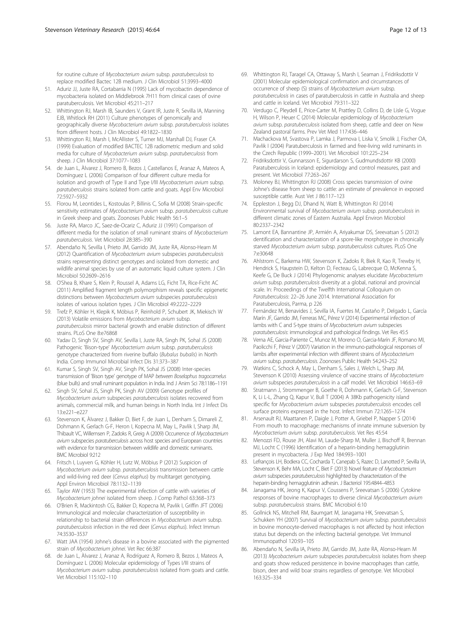<span id="page-11-0"></span>for routine culture of Mycobacterium avium subsp. paratuberculosis to replace modified Bactec 12B medium. J Clin Microbiol 51:3993–4000

- 51. Aduriz JJ, Juste RA, Cortabarria N (1995) Lack of mycobactin dependence of mycobacteria isolated on Middlebrook 7H11 from clinical cases of ovine paratuberculosis. Vet Microbiol 45:211–217
- 52. Whittington RJ, Marsh IB, Saunders V, Grant IR, Juste R, Sevilla IA, Manning EJB, Whitlock RH (2011) Culture phenotypes of genomically and geographically diverse Mycobacterium avium subsp. paratuberculosis isolates from different hosts. J Clin Microbiol 49:1822–1830
- 53. Whittington RJ, Marsh I, McAllister S, Turner MJ, Marshall DJ, Fraser CA (1999) Evaluation of modified BACTEC 12B radiometric medium and solid media for culture of Mycobacterium avium subsp. paratuberculosis from sheep. J Clin Microbiol 37:1077–1083
- 54. de Juan L, Àlvarez J, Romero B, Bezos J, Castellanos E, Aranaz A, Mateos A, Domínguez L (2006) Comparison of four different culture media for isolation and growth of Type II and Type I/III Mycobacterium avium subsp. paratuberculosis strains isolated from cattle and goats. Appl Env Microbiol 72:5927–5932
- 55. Florou M, Leontides L, Kostoulas P, Billinis C, Sofia M (2008) Strain-specific sensitivity estimates of Mycobacterium avium subsp. paratuberculosis culture in Greek sheep and goats. Zoonoses Public Health 56:1–5
- 56. Juste RA, Marco JC, Saez-de-Ocariz C, Aduriz JJ (1991) Comparison of different media for the isolation of small ruminant strains of Mycobacterium paratuberculosis. Vet Microbiol 28:385–390
- 57. Abendaño N, Sevilla I, Prieto JM, Garrido JM, Juste RA, Alonso-Hearn M (2012) Quantification of Mycobacterium avium subspecies paratuberculosis strains representing distinct genotypes and isolated from domestic and wildlife animal species by use of an automatic liquid culture system. J Clin Microbiol 50:2609–2616
- 58. O'Shea B, Khare S, Klein P, Roussel A, Adams LG, Ficht TA, Rice-Ficht AC (2011) Amplified fragment length polymorphism reveals specific epigenetic distinctions between Mycobacterium avium subspecies paratuberculosis isolates of various isolation types. J Clin Microbiol 49:2222–2229
- 59. Trefz P, Köhler H, Klepik K, Möbius P, Reinhold P, Schubert JK, Miekisch W (2013) Volatile emissions from Mycobacterium avium subsp. paratuberculosis mirror bacterial growth and enable distinction of different strains. PLoS One 8:e76868
- 60. Yadav D, Singh SV, Singh AV, Sevilla I, Juste RA, Singh PK, Sohal JS (2008) Pathogenic 'Bison-type' Mycobacterium avium subsp. paratuberculosis genotype characterized from riverine buffalo (Bubalus bubalis) in North India. Comp Immunol Microbial Infect Dis 31:373–387
- 61. Kumar S, Singh SV, Singh AV, Singh PK, Sohal JS (2008) Inter-species transmission of 'Bison type' genotype of MAP between Boselaphus tragocamelus (blue bulls) and small ruminant population in India. Ind J Anim Sci 78:1186–1191
- 62. Singh SV, Sohal JS, Singh PK, Singh AV (2009) Genotype profiles of Mycobacterium avium subspecies paratuberculosis isolates recovered from animals, commercial milk, and human beings in North India. Int J Infect Dis 13:e221–e227
- 63. Stevenson K, Àlvarez J, Bakker D, Biet F, de Juan L, Denham S, Dimareli Z, Dohmann K, Gerlach G-F, Heron I, Kopecna M, May L, Pavlik I, Sharp JM, Thibault VC, Willemsen P, Zadoks R, Greig A (2009) Occurrence of Mycobacterium avium subspecies paratuberculosis across host species and European countries with evidence for transmission between wildlife and domestic ruminants. BMC Microbiol 9:212
- 64. Fritsch I, Luyven G, Köhler H, Lutz W, Möbius P (2012) Suspicion of Mycobacterium avium subsp. paratuberculosis transmission between cattle and wild-living red deer (Cervus elaphus) by multitarget genotyping. Appl Environ Microbiol 78:1132–1139
- 65. Taylor AW (1953) The experimental infection of cattle with varieties of Mycobacterium johnei isolated from sheep. J Comp Pathol 63:368–373
- 66. O'Brien R, Mackintosh CG, Bakker D, Kopecna M, Pavlik I, Griffin JFT (2006) Immunological and molecular characterization of susceptibility in relationship to bacterial strain differences in Mycobacterium avium subsp. paratuberculosis infection in the red deer (Cervus elaphus). Infect Immun 74:3530–3537
- 67. Watt JAA (1954) Johne's disease in a bovine associated with the pigmented strain of Mycobacterium johnei. Vet Rec 66:387
- 68. de Juan L, Àlvarez J, Aranaz A, Rodríguez A, Romero B, Bezos J, Mateos A, Domínguez L (2006) Molecular epidemiology of Types I/III strains of Mycobacterium avium subsp. paratuberculosis isolated from goats and cattle. Vet Microbiol 115:102–110
- 69. Whittington RJ, Taragel CA, Ottaway S, Marsh I, Seaman J, Fridriksdottir V (2001) Molecular epidemiological confirmation and circumstances of occurrence of sheep (S) strains of Mycobacterium avium subsp. paratuberculosis in cases of paratuberculosis in cattle in Australia and sheep and cattle in Iceland. Vet Microbiol 79:311–322
- 70. Verdugo C, Pleydell E, Price-Carter M, Prattley D, Collins D, de Lisle G, Vogue H, Wilson P, Heuer C (2014) Molecular epidemiology of Mycobacterium avium subsp. paratuberculosis isolated from sheep, cattle and deer on New Zealand pastoral farms. Prev Vet Med 117:436–446
- 71. Machackova M, Svastova P, Lamka J, Parmova I, Liska V, Smolik J, Fischer OA, Pavlik I (2004) Paratuberculosis in farmed and free-living wild ruminants in the Czech Republic (1999–2001). Vet Microbiol 101:225–234
- 72. Fridriksdottir V, Gunnarsson E, Sigurdarson S, Gudmundsdottir KB (2000) Paratuberculosis in Iceland: epidemiology and control measures, past and present. Vet Microbiol 77:263–267
- 73. Moloney BJ, Whittington RJ (2008) Cross species transmission of ovine Johne's disease from sheep to cattle: an estimate of prevalence in exposed susceptible cattle. Aust Vet J 86:117–123
- 74. Eppleston J, Begg DJ, Dhand N, Watt B, Whittington RJ (2014) Environmental survival of Mycobacterium avium subsp. paratuberculosis in different climatic zones of Eastern Australia. Appl Environ Microbiol 80:2337–2342
- 75. Lamont EA, Bannantine JP, Armién A, Ariyakumar DS, Sreevatsan S (2012) dentification and characterization of a spore-like morphotype in chronically starved Mycobacterium avium subsp. paratuberculosis cultures. PLoS One 7:e30648
- 76. Ahlstrom C, Barkema HW, Stevenson K, Zadoks R, Biek R, Kao R, Trewby H, Hendrick S, Haupstein D, Kelton D, Fecteau G, Labrecque O, McKenna S, Keefe G, De Buck J (2014) Phylogenomic analyses elucidate Mycobacterium avium subsp. paratuberculosis diversity at a global, national and provincial scale. In: Proceedings of the Twelfth International Colloquium on Paratuberculosis: 22–26 June 2014. International Association for Paratuberculosis, Parma, p 226
- 77. Fernández M, Benavides J, Sevilla IA, Fuertes M, Castaño P, Delgado L, García Marín JF, Garrido JM, Ferreras MC, Pérez V (2014) Experimental infection of lambs with C and S-type strains of Mycobacterium avium subspecies paratuberculosis: immunological and pathological findings. Vet Res 45:5
- 78. Verna AE, Garcia-Pariente C, Munoz M, Moreno O, Garcia-Marín JF, Romano MI, Paolicchi F, Pérez V (2007) Variation in the immuno-pathological responses of lambs after experimental infection with different strains of Mycobacterium avium subsp. paratuberculosis. Zoonoses Public Health 54:243–252
- 79. Watkins C, Schock A, May L, Denham S, Sales J, Welch L, Sharp JM, Stevenson K (2010) Assessing virulence of vaccine strains of Mycobacterium avium subspecies paratuberculosis in a calf model. Vet Microbiol 146:63–69
- 80. Stratmann J, Strommenger B, Goethe R, Dohmann K, Gerlach G-F, Stevenson K, Li L-L, Zhang Q, Kapur V, Bull T (2004) A 38Kb pathogenicity island specific for Mycobacterium avium subspecies paratuberculosis encodes cell surface proteins expressed in the host. Infect Immun 72:1265–1274
- 81. Arsenault RJ, Maattanen P, Daigle J, Potter A, Griebel P, Napper S (2014) From mouth to macrophage: mechanisms of innate immune subversion by Mycobacterium avium subsp. paratuberculosis. Vet Res 45:54
- 82. Menozzi FD, Rouse JH, Alavi M, Laude-Sharp M, Muller J, Bischoff R, Brennan MJ, Locht C (1996) Identification of a heparin-binding hemagglutinin present in mycobacteria. J Exp Med 184:993–1001
- 83. Lefrançois LH, Bodiera CC, Cocharda T, Canepab S, Razec D, Lanotted P, Sevilla IA, Stevenson K, Behr MA, Locht C, Biet F (2013) Novel feature of Mycobacterium avium subspecies paratuberculosis highlighted by characterization of the heparin-binding hemagglutinin adhesin. J Bacteriol 195:4844–4853
- 84. Janagama HK, Jeong K, Kapur V, Coussens P, Sreevatsan S (2006) Cytokine responses of bovine macrophages to diverse clinical Mycobacterium avium subsp. paratuberculosis strains. BMC Microbiol 6:10
- 85. Gollnick NS, Mitchell RM, Baumgart M, Janagama HK, Sreevatsan S, Schukken YH (2007) Survival of Mycobacterium avium subsp. paratuberculosis in bovine monocyte-derived macrophages is not affected by host infection status but depends on the infecting bacterial genotype. Vet Immunol Immunopathol 120:93–105
- 86. Abendaño N, Sevilla IA, Prieto JM, Garrido JM, Juste RA, Alonso-Hearn M (2013) Mycobacterium avium subspecies paratuberculosis isolates from sheep and goats show reduced persistence in bovine macrophages than cattle bison, deer and wild boar strains regardless of genotype. Vet Microbiol 163:325–334